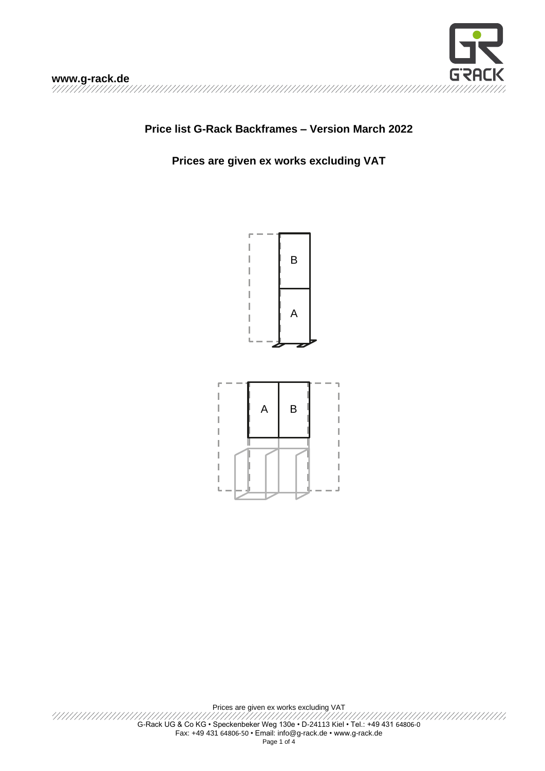

### **Price list G-Rack Backframes – Version March 2022**

#### **Prices are given ex works excluding VAT**





Prices are given ex works excluding VAT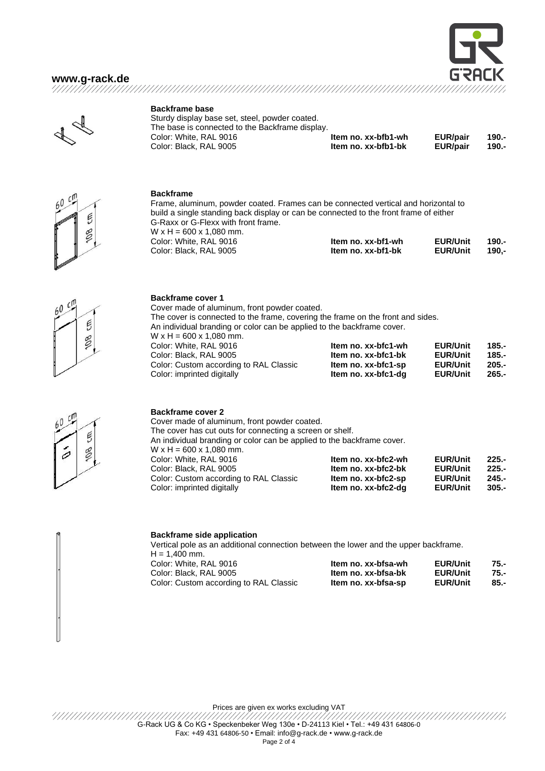





#### **Backframe base**

Sturdy display base set, steel, powder coated. The base is connected to the Backframe display. Color: White, RAL 9016 **Item no. xx-bfb1-wh EUR/pair 190.-**  $Color: Black, RAL 9005$ 

Cover made of aluminum, front powder coated.



#### **Backframe**

Frame, aluminum, powder coated. Frames can be connected vertical and horizontal to build a single standing back display or can be connected to the front frame of either G-Raxx or G-Flexx with front frame.  $W \times H = 600 \times 1,080$  mm. **Color: White, RAL 90** 

The cover is connected to the frame, covering the frame on the front and sides.

Color: White, RAL 9016 **Item no. xx-bfc1-wh EUR/Unit 185.-**

Color: Custom according to RAL Classic **Item no. xx-bfc1-sp EUR/Unit 205.-** Color: imprinted digitally **Item no. xx-bfc1-dg EUR/Unit 265.-**

An individual branding or color can be applied to the backframe cover.

| Color: White, RAL 9016 | Item no. xx-bf1-wh | <b>EUR/Unit</b> | 190.- |
|------------------------|--------------------|-----------------|-------|
| Color: Black, RAL 9005 | Item no. xx-bf1-bk | <b>EUR/Unit</b> | 190.- |



# Е 8

0

#### **Backframe cover 2**

**Backframe cover 1**

 $W \times H = 600 \times 1,080$  mm.

 $Color: Black, RAL, 9005$ 

Cover made of aluminum, front powder coated. The cover has cut outs for connecting a screen or shelf. An individual branding or color can be applied to the backframe cover.  $W \times H = 600 \times 1,080$  mm. Color: White, RAL 9016 **Item no. xx-bfc2-wh EUR/Unit 225.-** Color: Black, RAL 9005 **Item no. xx-bfc2-bk EUR/Unit 225.-** Color: Custom according to RAL Classic **Item no. xx-bfc2-sp EUR/Unit**<br>Color: imprinted digitally **and item no. xx-bfc2-dg EUR/Unit** Color: imprinted digitally **Item no. xx-bfc2-dg EUR/Unit 305.-**

#### **Backframe side application**

Vertical pole as an additional connection between the lower and the upper backframe. H = 1,400 mm.<br>Color: White. RAL 9016 Color: White, RAL 9016 **Item no. xx-bfsa-wh EUR/Unit 75.-**

| COIOI: VVNIte, RAL 9016                | item no. xx-prsa-wn | <b>EUR/UNIT</b> | 75.- |
|----------------------------------------|---------------------|-----------------|------|
| Color: Black, RAL 9005                 | Item no. xx-bfsa-bk | <b>EUR/Unit</b> | 75.- |
| Color: Custom according to RAL Classic | Item no. xx-bfsa-sp | <b>EUR/Unit</b> | 85.- |

Prices are given ex works excluding VAT

G-Rack UG & Co KG • Speckenbeker Weg 130e • D-24113 Kiel • Tel.: +49 431 64806-0 Fax: +49 431 64806-50 • Email[: info@g-rack.de](mailto:info@g-rack.de) • www.g-rack.de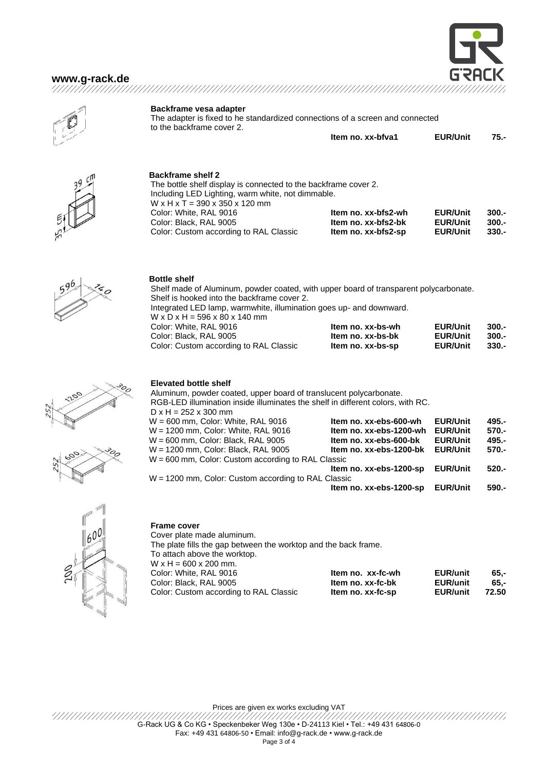## **[www.g-rack.de](http://www.g-rack.de/)**





**Backframe vesa adapter**

The adapter is fixed to he standardized connections of a screen and connected to the backframe cover 2.

| Item no. xx-bfva1 | <b>EUR/Unit</b> | 75.- |
|-------------------|-----------------|------|
|                   |                 |      |

**Backframe shelf 2** The bottle shelf display is connected to the backframe cover 2. Including LED Lighting, warm white, not dimmable.  $W \times H \times T = 390 \times 350 \times 120$  mm Color: White, RAL 9016 **Item no. xx-bfs2-wh EUR/Unit 300.-** Color: Black, RAL 9005 **Item no. xx-bfs2-bk EUR/Unit 300.- Color: Custom according to RAL Classic** 



#### **Bottle shelf**

Shelf made of Aluminum, powder coated, with upper board of transparent polycarbonate. Shelf is hooked into the backframe cover 2. Integrated LED lamp, warmwhite, illumination goes up- and downward.  $W \times D \times H = 596 \times 80 \times 140$  mm Color: White, RAL 9016 **Item no. xx-bs-wh EUR/Unit 300.-** Color: Black, RAL 9005 **Item no. xx-bs-bk EUR/Unit 300.- Color: Custom according to RAL Classic <b>Item no. xx-bs-sp** 





**Elevated bottle shelf**

| Aluminum, powder coated, upper board of translucent polycarbonate.              |                         |                 |         |
|---------------------------------------------------------------------------------|-------------------------|-----------------|---------|
| RGB-LED illumination inside illuminates the shelf in different colors, with RC. |                         |                 |         |
| $D \times H = 252 \times 300$ mm                                                |                         |                 |         |
| W = 600 mm, Color: White, RAL 9016                                              | Item no. xx-ebs-600-wh  | <b>EUR/Unit</b> | 495.-   |
| W = 1200 mm, Color: White, RAL 9016                                             | Item no. xx-ebs-1200-wh | <b>EUR/Unit</b> | $570 -$ |
| W = 600 mm, Color: Black, RAL 9005                                              | Item no. xx-ebs-600-bk  | <b>EUR/Unit</b> | 495.-   |
| W = 1200 mm, Color: Black, RAL 9005                                             | Item no. xx-ebs-1200-bk | <b>EUR/Unit</b> | 570.-   |
| W = 600 mm, Color: Custom according to RAL Classic                              |                         |                 |         |
|                                                                                 | Item no. xx-ebs-1200-sp | <b>EUR/Unit</b> | $520 -$ |
| W = 1200 mm, Color: Custom according to RAL Classic                             |                         |                 |         |
|                                                                                 | Item no. xx-ebs-1200-sp | <b>EUR/Unit</b> | 590.-   |



#### **Frame cover**

Cover plate made aluminum. The plate fills the gap between the worktop and the back frame. To attach above the worktop.  $W \times H = 600 \times 200$  mm. Color: White, RAL 9016 **Item no. xx-fc-wh EUR/unit 65,-** Color: Black, RAL 9005 **Item no. xx-fc-bk EUR/unit 65,- Color: Custom according to RAL Classic** 

Prices are given ex works excluding VAT

G-Rack UG & Co KG • Speckenbeker Weg 130e • D-24113 Kiel • Tel.: +49 431 64806-0 Fax: +49 431 64806-50 • Email[: info@g-rack.de](mailto:info@g-rack.de) • www.g-rack.de

Page 3 of 4